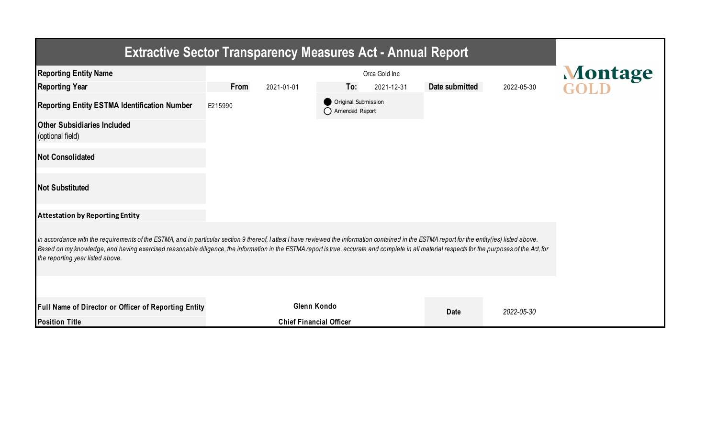| <b>Extractive Sector Transparency Measures Act - Annual Report</b>                                                                                                                                                                                                                                                                                                                                                                    |                                |                                         |                |            |         |  |  |  |  |  |
|---------------------------------------------------------------------------------------------------------------------------------------------------------------------------------------------------------------------------------------------------------------------------------------------------------------------------------------------------------------------------------------------------------------------------------------|--------------------------------|-----------------------------------------|----------------|------------|---------|--|--|--|--|--|
| <b>Reporting Entity Name</b>                                                                                                                                                                                                                                                                                                                                                                                                          |                                | Orca Gold Inc                           |                |            | Montage |  |  |  |  |  |
| <b>Reporting Year</b>                                                                                                                                                                                                                                                                                                                                                                                                                 | From<br>2021-01-01             | To:<br>2021-12-31                       | Date submitted | 2022-05-30 |         |  |  |  |  |  |
| <b>Reporting Entity ESTMA Identification Number</b>                                                                                                                                                                                                                                                                                                                                                                                   | E215990                        | Original Submission<br>◯ Amended Report |                |            |         |  |  |  |  |  |
| <b>Other Subsidiaries Included</b><br>(optional field)                                                                                                                                                                                                                                                                                                                                                                                |                                |                                         |                |            |         |  |  |  |  |  |
| <b>Not Consolidated</b>                                                                                                                                                                                                                                                                                                                                                                                                               |                                |                                         |                |            |         |  |  |  |  |  |
| <b>Not Substituted</b>                                                                                                                                                                                                                                                                                                                                                                                                                |                                |                                         |                |            |         |  |  |  |  |  |
| <b>Attestation by Reporting Entity</b>                                                                                                                                                                                                                                                                                                                                                                                                |                                |                                         |                |            |         |  |  |  |  |  |
| In accordance with the requirements of the ESTMA, and in particular section 9 thereof, I attest I have reviewed the information contained in the ESTMA report for the entity(ies) listed above.<br>Based on my knowledge, and having exercised reasonable diligence, the information in the ESTMA report is true, accurate and complete in all material respects for the purposes of the Act, for<br>the reporting year listed above. |                                |                                         |                |            |         |  |  |  |  |  |
|                                                                                                                                                                                                                                                                                                                                                                                                                                       |                                |                                         |                |            |         |  |  |  |  |  |
| Full Name of Director or Officer of Reporting Entity                                                                                                                                                                                                                                                                                                                                                                                  | Glenn Kondo                    |                                         | <b>Date</b>    | 2022-05-30 |         |  |  |  |  |  |
| <b>Position Title</b>                                                                                                                                                                                                                                                                                                                                                                                                                 | <b>Chief Financial Officer</b> |                                         |                |            |         |  |  |  |  |  |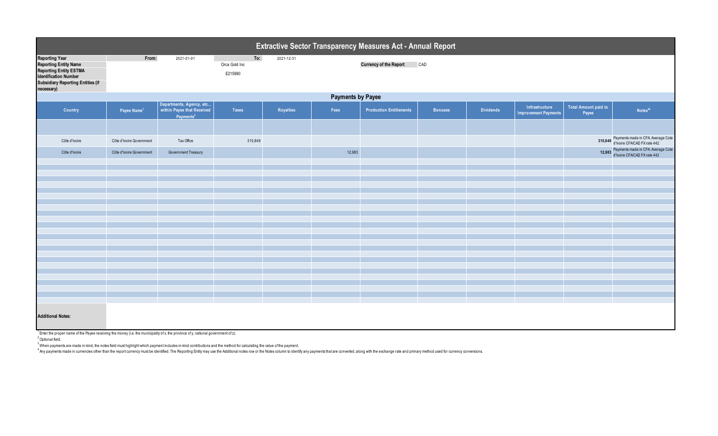| Extractive Sector Transparency Measures Act - Annual Report                                                                                                               |                          |                                                                                 |                                 |            |        |                                |                |                  |                                               |                                      |                                                                           |  |
|---------------------------------------------------------------------------------------------------------------------------------------------------------------------------|--------------------------|---------------------------------------------------------------------------------|---------------------------------|------------|--------|--------------------------------|----------------|------------------|-----------------------------------------------|--------------------------------------|---------------------------------------------------------------------------|--|
| <b>Reporting Year</b><br><b>Reporting Entity Name</b><br><b>Reporting Entity ESTMA</b><br><b>Identification Number</b><br>Subsidiary Reporting Entities (if<br>necessary) | From:                    | 2021-01-01                                                                      | To:<br>Orca Gold Inc<br>E215990 | 2021-12-31 |        | <b>Currency of the Report</b>  | CAD            |                  |                                               |                                      |                                                                           |  |
|                                                                                                                                                                           | <b>Payments by Payee</b> |                                                                                 |                                 |            |        |                                |                |                  |                                               |                                      |                                                                           |  |
| Country                                                                                                                                                                   | Payee Name <sup>1</sup>  | Departments, Agency, etc<br>within Payee that Received<br>Payments <sup>2</sup> | Taxes                           | Royalties  | Fees   | <b>Production Entitlements</b> | <b>Bonuses</b> | <b>Dividends</b> | Infrastructure<br><b>Improvement Payments</b> | <b>Total Amount paid to</b><br>Payee | Notes <sup>34</sup>                                                       |  |
|                                                                                                                                                                           |                          |                                                                                 |                                 |            |        |                                |                |                  |                                               |                                      |                                                                           |  |
| Côte d'Ivoire                                                                                                                                                             | Côte d'Ivoire Government | Tax Office                                                                      | 310,849                         |            |        |                                |                |                  |                                               |                                      | 310,849 Payments made in CFA Average Cote<br>d'Ivoire CFA/CAD FX rate 442 |  |
| Côte d'Ivoire                                                                                                                                                             | Côte d'Ivoire Government | Government Treasury                                                             |                                 |            | 12,983 |                                |                |                  |                                               |                                      | Payments made in CFA. Average Cote<br>d'Ivoire CFA/CAD FX rate 442        |  |
|                                                                                                                                                                           |                          |                                                                                 |                                 |            |        |                                |                |                  |                                               |                                      |                                                                           |  |
|                                                                                                                                                                           |                          |                                                                                 |                                 |            |        |                                |                |                  |                                               |                                      |                                                                           |  |
|                                                                                                                                                                           |                          |                                                                                 |                                 |            |        |                                |                |                  |                                               |                                      |                                                                           |  |
|                                                                                                                                                                           |                          |                                                                                 |                                 |            |        |                                |                |                  |                                               |                                      |                                                                           |  |
|                                                                                                                                                                           |                          |                                                                                 |                                 |            |        |                                |                |                  |                                               |                                      |                                                                           |  |
|                                                                                                                                                                           |                          |                                                                                 |                                 |            |        |                                |                |                  |                                               |                                      |                                                                           |  |
|                                                                                                                                                                           |                          |                                                                                 |                                 |            |        |                                |                |                  |                                               |                                      |                                                                           |  |
|                                                                                                                                                                           |                          |                                                                                 |                                 |            |        |                                |                |                  |                                               |                                      |                                                                           |  |
|                                                                                                                                                                           |                          |                                                                                 |                                 |            |        |                                |                |                  |                                               |                                      |                                                                           |  |
|                                                                                                                                                                           |                          |                                                                                 |                                 |            |        |                                |                |                  |                                               |                                      |                                                                           |  |
|                                                                                                                                                                           |                          |                                                                                 |                                 |            |        |                                |                |                  |                                               |                                      |                                                                           |  |
|                                                                                                                                                                           |                          |                                                                                 |                                 |            |        |                                |                |                  |                                               |                                      |                                                                           |  |
|                                                                                                                                                                           |                          |                                                                                 |                                 |            |        |                                |                |                  |                                               |                                      |                                                                           |  |
|                                                                                                                                                                           |                          |                                                                                 |                                 |            |        |                                |                |                  |                                               |                                      |                                                                           |  |
|                                                                                                                                                                           |                          |                                                                                 |                                 |            |        |                                |                |                  |                                               |                                      |                                                                           |  |
|                                                                                                                                                                           |                          |                                                                                 |                                 |            |        |                                |                |                  |                                               |                                      |                                                                           |  |
| <b>Additional Notes:</b>                                                                                                                                                  |                          |                                                                                 |                                 |            |        |                                |                |                  |                                               |                                      |                                                                           |  |

 $1$  Enter the proper name of the Payee receiving the money (i.e. the municipality of x, the province of y, national government of z).

2 Optional field.

 $^3$  When payments are made in-kind, the notes field must highlight which payment includes in-kind contributions and the method for calculating the value of the payment.

4 Any payments made in currencies other than the report currency must be identified. The Reporting Entity may use the Additional notes row or the Notes column to identify any payments that are converted, along with the exc